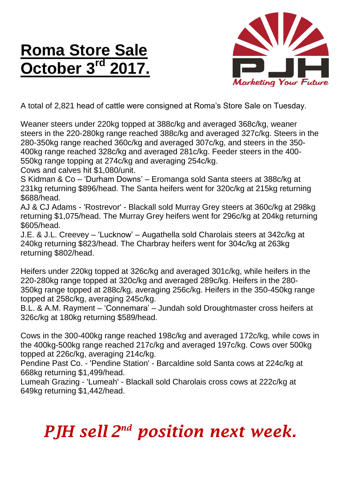## **Roma Store Sale October 3<sup>rd</sup>**



A total of 2,821 head of cattle were consigned at Roma's Store Sale on Tuesday.

Weaner steers under 220kg topped at 388c/kg and averaged 368c/kg, weaner steers in the 220-280kg range reached 388c/kg and averaged 327c/kg. Steers in the 280-350kg range reached 360c/kg and averaged 307c/kg, and steers in the 350- 400kg range reached 328c/kg and averaged 281c/kg. Feeder steers in the 400- 550kg range topping at 274c/kg and averaging 254c/kg.

Cows and calves hit \$1,080/unit.

S Kidman & Co – 'Durham Downs' – Eromanga sold Santa steers at 388c/kg at 231kg returning \$896/head. The Santa heifers went for 320c/kg at 215kg returning \$688/head.

AJ & CJ Adams - 'Rostrevor' - Blackall sold Murray Grey steers at 360c/kg at 298kg returning \$1,075/head. The Murray Grey heifers went for 296c/kg at 204kg returning \$605/head.

J.E. & J.L. Creevey – 'Lucknow' – Augathella sold Charolais steers at 342c/kg at 240kg returning \$823/head. The Charbray heifers went for 304c/kg at 263kg returning \$802/head.

Heifers under 220kg topped at 326c/kg and averaged 301c/kg, while heifers in the 220-280kg range topped at 320c/kg and averaged 289c/kg. Heifers in the 280- 350kg range topped at 288c/kg, averaging 256c/kg. Heifers in the 350-450kg range topped at 258c/kg, averaging 245c/kg.

B.L. & A.M. Rayment – 'Connemara' – Jundah sold Droughtmaster cross heifers at 326c/kg at 180kg returning \$589/head.

Cows in the 300-400kg range reached 198c/kg and averaged 172c/kg, while cows in the 400kg-500kg range reached 217c/kg and averaged 197c/kg. Cows over 500kg topped at 226c/kg, averaging 214c/kg.

Pendine Past Co. - 'Pendine Station' - Barcaldine sold Santa cows at 224c/kg at 668kg returning \$1,499/head.

Lumeah Grazing - 'Lumeah' - Blackall sold Charolais cross cows at 222c/kg at 649kg returning \$1,442/head.

## *PJH sell 2 nd position next week.*